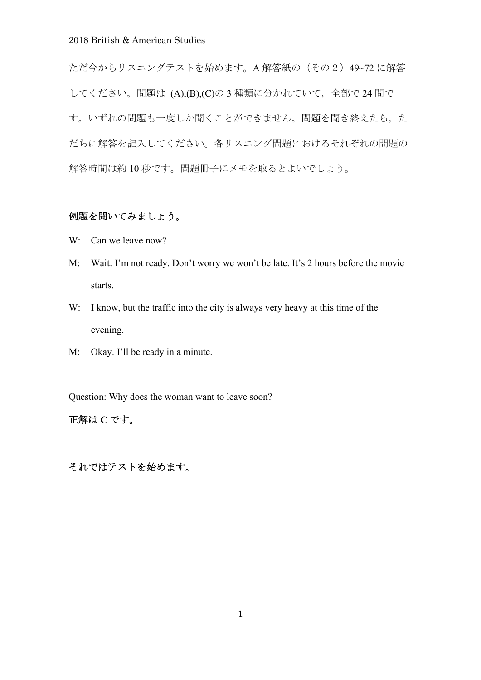ただ今からリスニングテストを始めます。A 解答紙の(その2)49~72 に解答 してください。問題は (A),(B),(C)の3種類に分かれていて、全部で24 問で す。いずれの問題も一度しか聞くことができません。問題を聞き終えたら、た だちに解答を記入してください。各リスニング問題におけるそれぞれの問題の 解答時間は約 10 秒です。問題冊子にメモを取るとよいでしょう。

### 例題を聞いてみましょう。

- W: Can we leave now?
- M: Wait. I'm not ready. Don't worry we won't be late. It's 2 hours before the movie starts.
- W: I know, but the traffic into the city is always very heavy at this time of the evening.
- M: Okay. I'll be ready in a minute.

Question: Why does the woman want to leave soon?

# 正解は **C** です。

それではテストを始めます。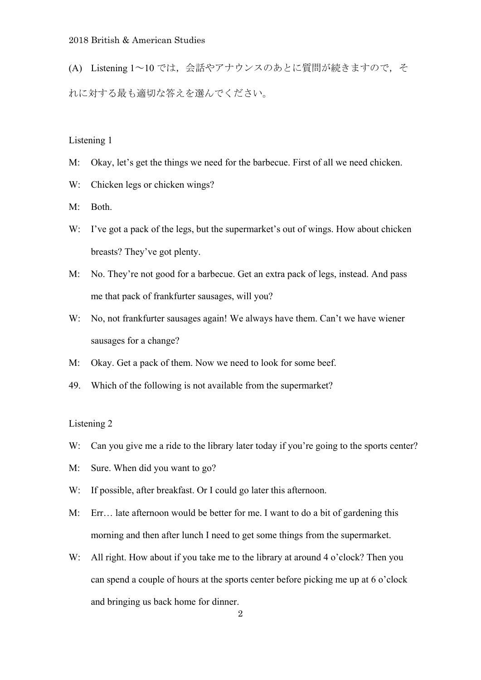(A) Listening 1~10 では,会話やアナウンスのあとに質問が続きますので,そ れに対する最も適切な答えを選んでください。

### Listening 1

- M: Okay, let's get the things we need for the barbecue. First of all we need chicken.
- W: Chicken legs or chicken wings?
- M: Both.
- W: I've got a pack of the legs, but the supermarket's out of wings. How about chicken breasts? They've got plenty.
- M: No. They're not good for a barbecue. Get an extra pack of legs, instead. And pass me that pack of frankfurter sausages, will you?
- W: No, not frankfurter sausages again! We always have them. Can't we have wiener sausages for a change?
- M: Okay. Get a pack of them. Now we need to look for some beef.
- 49. Which of the following is not available from the supermarket?

#### Listening 2

- W: Can you give me a ride to the library later today if you're going to the sports center?
- M: Sure. When did you want to go?
- W: If possible, after breakfast. Or I could go later this afternoon.
- M: Err… late afternoon would be better for me. I want to do a bit of gardening this morning and then after lunch I need to get some things from the supermarket.
- W: All right. How about if you take me to the library at around 4 o'clock? Then you can spend a couple of hours at the sports center before picking me up at 6 o'clock and bringing us back home for dinner.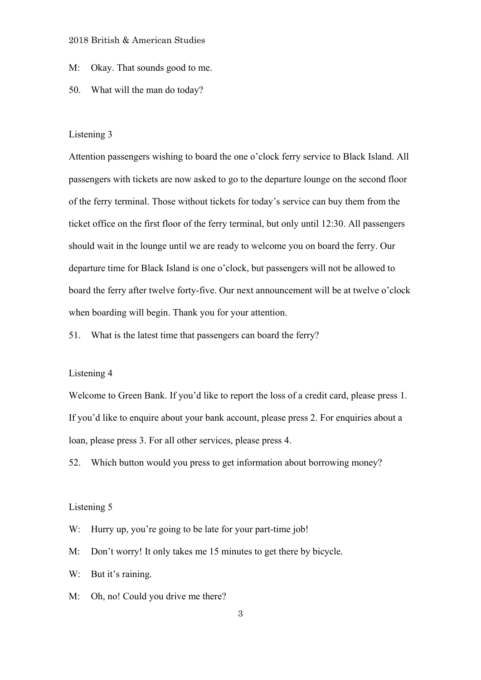### M: Okay. That sounds good to me.

#### 50. What will the man do today?

#### Listening 3

Attention passengers wishing to board the one o'clock ferry service to Black Island. All passengers with tickets are now asked to go to the departure lounge on the second floor of the ferry terminal. Those without tickets for today's service can buy them from the ticket office on the first floor of the ferry terminal, but only until 12:30. All passengers should wait in the lounge until we are ready to welcome you on board the ferry. Our departure time for Black Island is one o'clock, but passengers will not be allowed to board the ferry after twelve forty-five. Our next announcement will be at twelve o'clock when boarding will begin. Thank you for your attention.

51. What is the latest time that passengers can board the ferry?

### Listening 4

Welcome to Green Bank. If you'd like to report the loss of a credit card, please press 1. If you'd like to enquire about your bank account, please press 2. For enquiries about a loan, please press 3. For all other services, please press 4.

52. Which button would you press to get information about borrowing money?

#### Listening 5

W: Hurry up, you're going to be late for your part-time job!

M: Don't worry! It only takes me 15 minutes to get there by bicycle.

W: But it's raining.

M: Oh, no! Could you drive me there?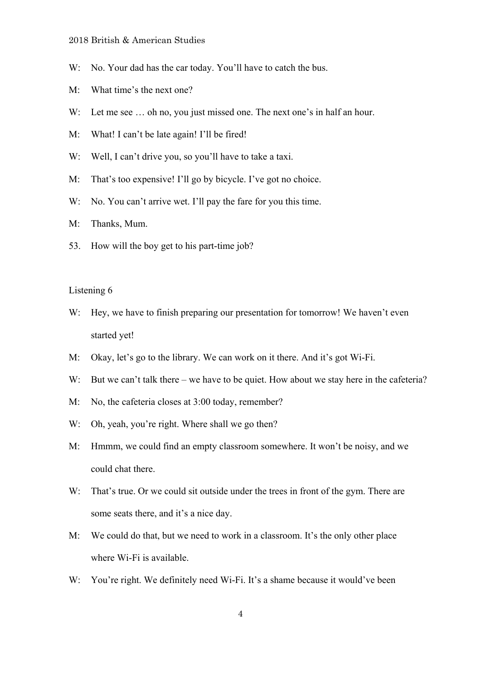- W: No. Your dad has the car today. You'll have to catch the bus.
- M: What time's the next one?
- W: Let me see ... oh no, you just missed one. The next one's in half an hour.
- M: What! I can't be late again! I'll be fired!
- W: Well, I can't drive you, so you'll have to take a taxi.
- M: That's too expensive! I'll go by bicycle. I've got no choice.
- W: No. You can't arrive wet. I'll pay the fare for you this time.
- M: Thanks, Mum.
- 53. How will the boy get to his part-time job?

### Listening 6

- W: Hey, we have to finish preparing our presentation for tomorrow! We haven't even started yet!
- M: Okay, let's go to the library. We can work on it there. And it's got Wi-Fi.
- W: But we can't talk there we have to be quiet. How about we stay here in the cafeteria?
- M: No, the cafeteria closes at 3:00 today, remember?
- W: Oh, yeah, you're right. Where shall we go then?
- M: Hmmm, we could find an empty classroom somewhere. It won't be noisy, and we could chat there.
- W: That's true. Or we could sit outside under the trees in front of the gym. There are some seats there, and it's a nice day.
- M: We could do that, but we need to work in a classroom. It's the only other place where Wi-Fi is available.
- W: You're right. We definitely need Wi-Fi. It's a shame because it would've been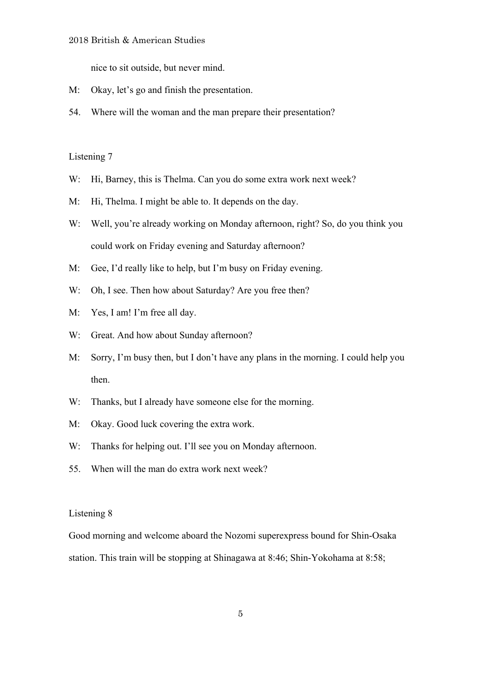nice to sit outside, but never mind.

- M: Okay, let's go and finish the presentation.
- 54. Where will the woman and the man prepare their presentation?

## Listening 7

- W: Hi, Barney, this is Thelma. Can you do some extra work next week?
- M: Hi, Thelma. I might be able to. It depends on the day.
- W: Well, you're already working on Monday afternoon, right? So, do you think you could work on Friday evening and Saturday afternoon?
- M: Gee, I'd really like to help, but I'm busy on Friday evening.
- W: Oh, I see. Then how about Saturday? Are you free then?
- M: Yes, I am! I'm free all day.
- W: Great. And how about Sunday afternoon?
- M: Sorry, I'm busy then, but I don't have any plans in the morning. I could help you then.
- W: Thanks, but I already have someone else for the morning.
- M: Okay. Good luck covering the extra work.
- W: Thanks for helping out. I'll see you on Monday afternoon.
- 55. When will the man do extra work next week?

#### Listening 8

Good morning and welcome aboard the Nozomi superexpress bound for Shin-Osaka station. This train will be stopping at Shinagawa at 8:46; Shin-Yokohama at 8:58;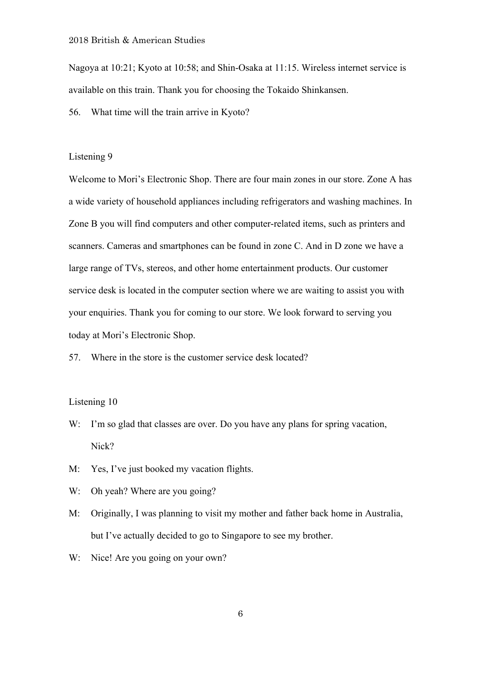Nagoya at 10:21; Kyoto at 10:58; and Shin-Osaka at 11:15. Wireless internet service is available on this train. Thank you for choosing the Tokaido Shinkansen.

56. What time will the train arrive in Kyoto?

### Listening 9

Welcome to Mori's Electronic Shop. There are four main zones in our store. Zone A has a wide variety of household appliances including refrigerators and washing machines. In Zone B you will find computers and other computer-related items, such as printers and scanners. Cameras and smartphones can be found in zone C. And in D zone we have a large range of TVs, stereos, and other home entertainment products. Our customer service desk is located in the computer section where we are waiting to assist you with your enquiries. Thank you for coming to our store. We look forward to serving you today at Mori's Electronic Shop.

57. Where in the store is the customer service desk located?

### Listening 10

- W: I'm so glad that classes are over. Do you have any plans for spring vacation, Nick?
- M: Yes, I've just booked my vacation flights.
- W: Oh yeah? Where are you going?
- M: Originally, I was planning to visit my mother and father back home in Australia, but I've actually decided to go to Singapore to see my brother.
- W: Nice! Are you going on your own?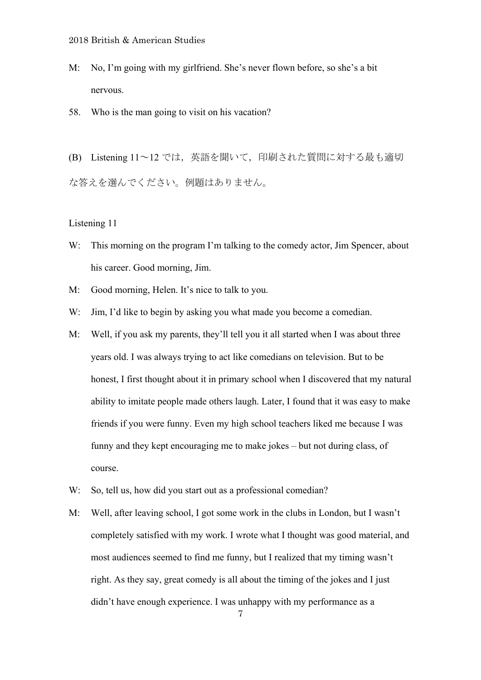- M: No, I'm going with my girlfriend. She's never flown before, so she's a bit nervous.
- 58. Who is the man going to visit on his vacation?

(B) Listening 11~12 では,英語を聞いて,印刷された質問に対する最も適切 な答えを選んでください。例題はありません。

Listening 11

- W: This morning on the program I'm talking to the comedy actor, Jim Spencer, about his career. Good morning, Jim.
- M: Good morning, Helen. It's nice to talk to you.
- W: Jim, I'd like to begin by asking you what made you become a comedian.
- M: Well, if you ask my parents, they'll tell you it all started when I was about three years old. I was always trying to act like comedians on television. But to be honest, I first thought about it in primary school when I discovered that my natural ability to imitate people made others laugh. Later, I found that it was easy to make friends if you were funny. Even my high school teachers liked me because I was funny and they kept encouraging me to make jokes – but not during class, of course.
- W: So, tell us, how did you start out as a professional comedian?
- M: Well, after leaving school, I got some work in the clubs in London, but I wasn't completely satisfied with my work. I wrote what I thought was good material, and most audiences seemed to find me funny, but I realized that my timing wasn't right. As they say, great comedy is all about the timing of the jokes and I just didn't have enough experience. I was unhappy with my performance as a

7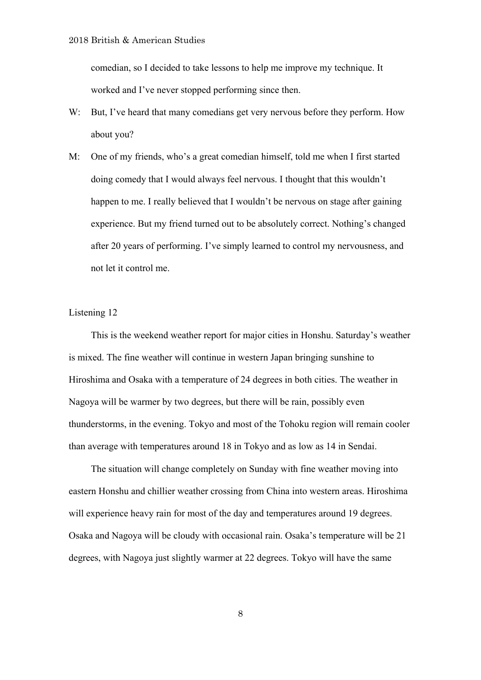comedian, so I decided to take lessons to help me improve my technique. It worked and I've never stopped performing since then.

- W: But, I've heard that many comedians get very nervous before they perform. How about you?
- M: One of my friends, who's a great comedian himself, told me when I first started doing comedy that I would always feel nervous. I thought that this wouldn't happen to me. I really believed that I wouldn't be nervous on stage after gaining experience. But my friend turned out to be absolutely correct. Nothing's changed after 20 years of performing. I've simply learned to control my nervousness, and not let it control me.

### Listening 12

 This is the weekend weather report for major cities in Honshu. Saturday's weather is mixed. The fine weather will continue in western Japan bringing sunshine to Hiroshima and Osaka with a temperature of 24 degrees in both cities. The weather in Nagoya will be warmer by two degrees, but there will be rain, possibly even thunderstorms, in the evening. Tokyo and most of the Tohoku region will remain cooler than average with temperatures around 18 in Tokyo and as low as 14 in Sendai.

 The situation will change completely on Sunday with fine weather moving into eastern Honshu and chillier weather crossing from China into western areas. Hiroshima will experience heavy rain for most of the day and temperatures around 19 degrees. Osaka and Nagoya will be cloudy with occasional rain. Osaka's temperature will be 21 degrees, with Nagoya just slightly warmer at 22 degrees. Tokyo will have the same

8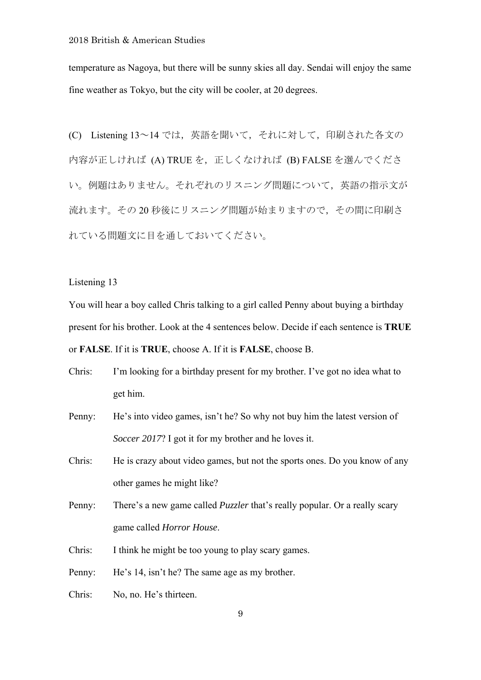temperature as Nagoya, but there will be sunny skies all day. Sendai will enjoy the same fine weather as Tokyo, but the city will be cooler, at 20 degrees.

(C) Listening 13~14 では,英語を聞いて,それに対して,印刷された各文の 内容が正しければ (A) TRUE を、正しくなければ (B) FALSE を選んでくださ い。例題はありません。それぞれのリスニング問題について,英語の指示文が 流れます。その20秒後にリスニング問題が始まりますので、その間に印刷さ れている問題文に目を通しておいてください。

### Listening 13

You will hear a boy called Chris talking to a girl called Penny about buying a birthday present for his brother. Look at the 4 sentences below. Decide if each sentence is **TRUE** or **FALSE**. If it is **TRUE**, choose A. If it is **FALSE**, choose B.

| Chris: | I'm looking for a birthday present for my brother. I've got no idea what to |
|--------|-----------------------------------------------------------------------------|
|        | get him.                                                                    |

Penny: He's into video games, isn't he? So why not buy him the latest version of *Soccer 2017*? I got it for my brother and he loves it.

Chris: He is crazy about video games, but not the sports ones. Do you know of any other games he might like?

Penny: There's a new game called *Puzzler* that's really popular. Or a really scary game called *Horror House*.

Chris: I think he might be too young to play scary games.

Penny: He's 14, isn't he? The same age as my brother.

Chris: No, no. He's thirteen.